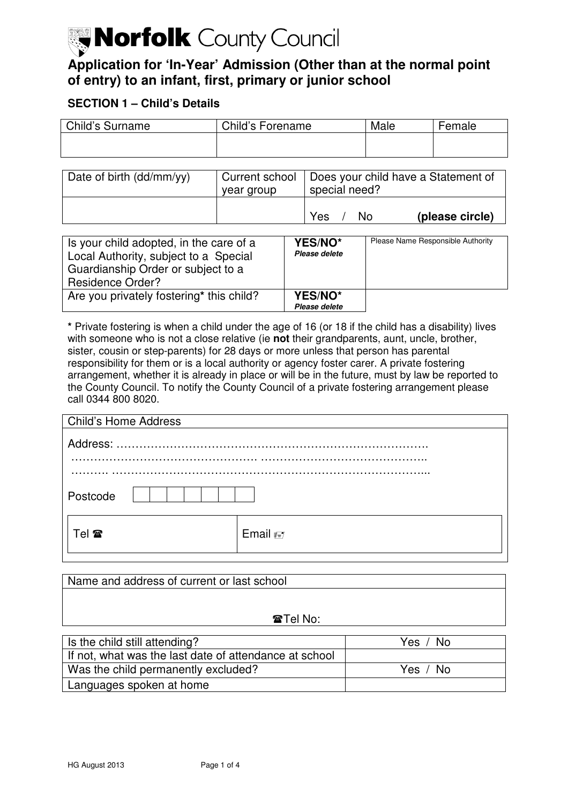# Morfolk County Council

# **Application for 'In-Year' Admission (Other than at the normal point of entry) to an infant, first, primary or junior school**

# **SECTION 1 – Child's Details**

| Child's Forename | Male | Female |
|------------------|------|--------|
|                  |      |        |
|                  |      |        |

| Date of birth $(dd/mm/yy)$ | year group | Current school   Does your child have a Statement of<br>special need? |
|----------------------------|------------|-----------------------------------------------------------------------|
|                            |            | Yes<br>(please circle)<br>No.                                         |

| Is your child adopted, in the care of a<br>Local Authority, subject to a Special<br>Guardianship Order or subject to a<br><b>Residence Order?</b> | YES/NO*<br>Please delete | Please Name Responsible Authority |
|---------------------------------------------------------------------------------------------------------------------------------------------------|--------------------------|-----------------------------------|
| Are you privately fostering* this child?                                                                                                          | YES/NO*<br>Please delete |                                   |

 **\*** Private fostering is when a child under the age of 16 (or 18 if the child has a disability) lives with someone who is not a close relative (ie **not** their grandparents, aunt, uncle, brother, sister, cousin or step-parents) for 28 days or more unless that person has parental responsibility for them or is a local authority or agency foster carer. A private fostering arrangement, whether it is already in place or will be in the future, must by law be reported to the County Council. To notify the County Council of a private fostering arrangement please call 0344 800 8020.

| <b>Child's Home Address</b> |                  |
|-----------------------------|------------------|
|                             |                  |
|                             |                  |
| Postcode                    |                  |
| Tel <b>T</b>                | Email $\equiv$ 7 |

| Name and address of current or last school |
|--------------------------------------------|
|                                            |
|                                            |
| $\mathbf{\mathcal{F}}$ Tel No:             |

| Is the child still attending?                          | Yes / No |
|--------------------------------------------------------|----------|
| If not, what was the last date of attendance at school |          |
| Was the child permanently excluded?                    | Yes / No |
| Languages spoken at home                               |          |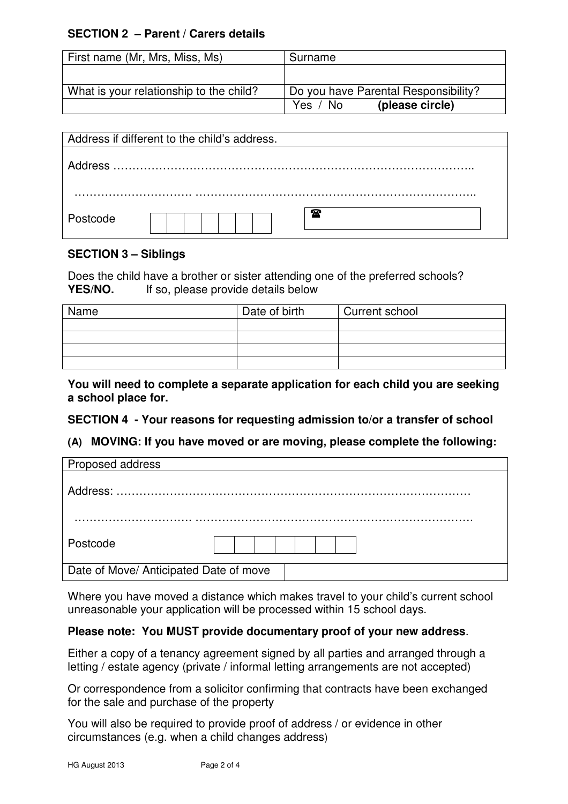# **SECTION 2 – Parent / Carers details**

| First name (Mr, Mrs, Miss, Ms)          | Surname                              |
|-----------------------------------------|--------------------------------------|
|                                         |                                      |
| What is your relationship to the child? | Do you have Parental Responsibility? |
|                                         | (please circle)<br>Yes / No          |

|          | Address if different to the child's address. |
|----------|----------------------------------------------|
|          |                                              |
|          |                                              |
|          |                                              |
| Postcode | ☎                                            |

# **SECTION 3 – Siblings**

 Does the child have a brother or sister attending one of the preferred schools? **YES/NO.** If so, please provide details below

| Name | Date of birth | Current school |
|------|---------------|----------------|
|      |               |                |
|      |               |                |
|      |               |                |
|      |               |                |

 **You will need to complete a separate application for each child you are seeking a school place for.** 

# **SECTION 4 - Your reasons for requesting admission to/or a transfer of school**

# **(A) MOVING: If you have moved or are moving, please complete the following:**

| Proposed address                       |  |
|----------------------------------------|--|
|                                        |  |
|                                        |  |
| Postcode                               |  |
| Date of Move/ Anticipated Date of move |  |

 Where you have moved a distance which makes travel to your child's current school unreasonable your application will be processed within 15 school days.

# **Please note: You MUST provide documentary proof of your new address**.

 Either a copy of a tenancy agreement signed by all parties and arranged through a letting / estate agency (private / informal letting arrangements are not accepted)

 Or correspondence from a solicitor confirming that contracts have been exchanged for the sale and purchase of the property

 You will also be required to provide proof of address / or evidence in other circumstances (e.g. when a child changes address)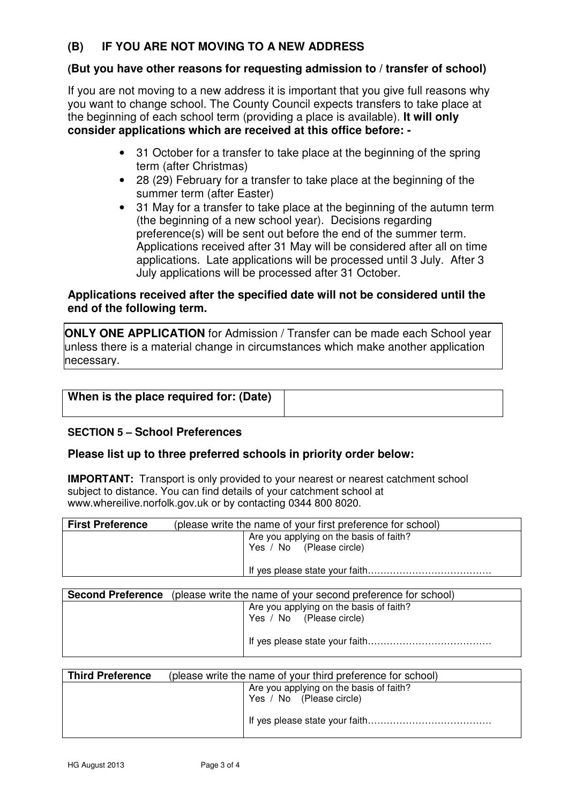#### **(B) IF YOU ARE NOT MOVING TO A NEW ADDRESS**

# **(But you have other reasons for requesting admission to / transfer of school)**

 If you are not moving to a new address it is important that you give full reasons why you want to change school. The County Council expects transfers to take place at the beginning of each school term (providing a place is available). **It will only consider applications which are received at this office before: -**

- • 31 October for a transfer to take place at the beginning of the spring term (after Christmas)
- summer term (after Easter) • 28 (29) February for a transfer to take place at the beginning of the
- $\bullet$  (the beginning of a new school year). Decisions regarding preference(s) will be sent out before the end of the summer term. Applications received after 31 May will be considered after all on time applications. Late applications will be processed until 3 July. After 3 July applications will be processed after 31 October. • 31 May for a transfer to take place at the beginning of the autumn term

# **Applications received after the specified date will not be considered until the end of the following term.**

 **ONLY ONE APPLICATION** for Admission / Transfer can be made each School year unless there is a material change in circumstances which make another application necessary.

| When is the place required for: (Date) |  |
|----------------------------------------|--|
|                                        |  |

# **SECTION 5 – School Preferences**

# **Please list up to three preferred schools in priority order below:**

**IMPORTANT:** Transport is only provided to your nearest or nearest catchment school subject to distance. You can find details of your catchment school at <www.whereilive.norfolk.gov.uk> or by contacting 0344 800 8020.

| <b>First Preference</b> | (please write the name of your first preference for school) |  |
|-------------------------|-------------------------------------------------------------|--|
|                         | Are you applying on the basis of faith?                     |  |
|                         | Yes / No (Please circle)                                    |  |
|                         |                                                             |  |
|                         |                                                             |  |

| <b>Second Preference</b> (please write the name of your second preference for school) |  |  |  |
|---------------------------------------------------------------------------------------|--|--|--|
| Are you applying on the basis of faith?                                               |  |  |  |
| Yes / No (Please circle)                                                              |  |  |  |
|                                                                                       |  |  |  |

| <b>Third Preference</b> | (please write the name of your third preference for school) |                                                                     |  |  |
|-------------------------|-------------------------------------------------------------|---------------------------------------------------------------------|--|--|
|                         |                                                             | Are you applying on the basis of faith?<br>Yes / No (Please circle) |  |  |
|                         |                                                             |                                                                     |  |  |